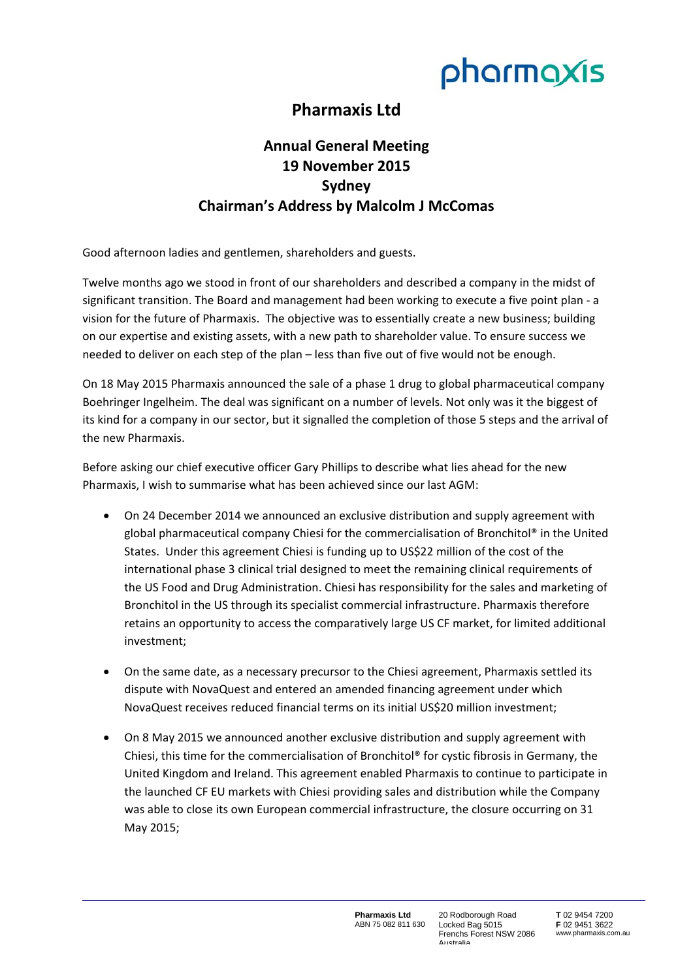

## **Pharmaxis Ltd**

## **Annual General Meeting 19 November 2015 Sydney Chairman's Address by Malcolm J McComas**

Good afternoon ladies and gentlemen, shareholders and guests.

Twelve months ago we stood in front of our shareholders and described a company in the midst of significant transition. The Board and management had been working to execute a five point plan ‐ a vision for the future of Pharmaxis. The objective was to essentially create a new business; building on our expertise and existing assets, with a new path to shareholder value. To ensure success we needed to deliver on each step of the plan – less than five out of five would not be enough.

On 18 May 2015 Pharmaxis announced the sale of a phase 1 drug to global pharmaceutical company Boehringer Ingelheim. The deal was significant on a number of levels. Not only was it the biggest of its kind for a company in our sector, but it signalled the completion of those 5 steps and the arrival of the new Pharmaxis.

Before asking our chief executive officer Gary Phillips to describe what lies ahead for the new Pharmaxis, I wish to summarise what has been achieved since our last AGM:

- On 24 December 2014 we announced an exclusive distribution and supply agreement with global pharmaceutical company Chiesi for the commercialisation of Bronchitol® in the United States. Under this agreement Chiesi is funding up to US\$22 million of the cost of the international phase 3 clinical trial designed to meet the remaining clinical requirements of the US Food and Drug Administration. Chiesi has responsibility for the sales and marketing of Bronchitol in the US through its specialist commercial infrastructure. Pharmaxis therefore retains an opportunity to access the comparatively large US CF market, for limited additional investment;
- On the same date, as a necessary precursor to the Chiesi agreement, Pharmaxis settled its dispute with NovaQuest and entered an amended financing agreement under which NovaQuest receives reduced financial terms on its initial US\$20 million investment;
- On 8 May 2015 we announced another exclusive distribution and supply agreement with Chiesi, this time for the commercialisation of Bronchitol® for cystic fibrosis in Germany, the United Kingdom and Ireland. This agreement enabled Pharmaxis to continue to participate in the launched CF EU markets with Chiesi providing sales and distribution while the Company was able to close its own European commercial infrastructure, the closure occurring on 31 May 2015;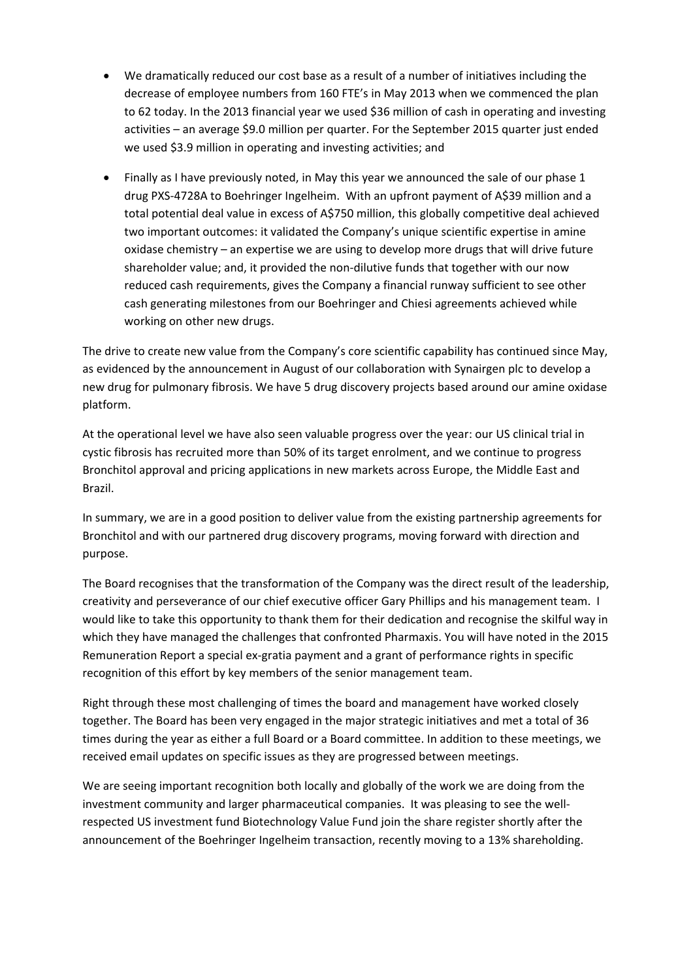- We dramatically reduced our cost base as a result of a number of initiatives including the decrease of employee numbers from 160 FTE's in May 2013 when we commenced the plan to 62 today. In the 2013 financial year we used \$36 million of cash in operating and investing activities – an average \$9.0 million per quarter. For the September 2015 quarter just ended we used \$3.9 million in operating and investing activities; and
- Finally as I have previously noted, in May this year we announced the sale of our phase 1 drug PXS‐4728A to Boehringer Ingelheim. With an upfront payment of A\$39 million and a total potential deal value in excess of A\$750 million, this globally competitive deal achieved two important outcomes: it validated the Company's unique scientific expertise in amine oxidase chemistry – an expertise we are using to develop more drugs that will drive future shareholder value; and, it provided the non-dilutive funds that together with our now reduced cash requirements, gives the Company a financial runway sufficient to see other cash generating milestones from our Boehringer and Chiesi agreements achieved while working on other new drugs.

The drive to create new value from the Company's core scientific capability has continued since May, as evidenced by the announcement in August of our collaboration with Synairgen plc to develop a new drug for pulmonary fibrosis. We have 5 drug discovery projects based around our amine oxidase platform.

At the operational level we have also seen valuable progress over the year: our US clinical trial in cystic fibrosis has recruited more than 50% of its target enrolment, and we continue to progress Bronchitol approval and pricing applications in new markets across Europe, the Middle East and Brazil.

In summary, we are in a good position to deliver value from the existing partnership agreements for Bronchitol and with our partnered drug discovery programs, moving forward with direction and purpose.

The Board recognises that the transformation of the Company was the direct result of the leadership, creativity and perseverance of our chief executive officer Gary Phillips and his management team. I would like to take this opportunity to thank them for their dedication and recognise the skilful way in which they have managed the challenges that confronted Pharmaxis. You will have noted in the 2015 Remuneration Report a special ex‐gratia payment and a grant of performance rights in specific recognition of this effort by key members of the senior management team.

Right through these most challenging of times the board and management have worked closely together. The Board has been very engaged in the major strategic initiatives and met a total of 36 times during the year as either a full Board or a Board committee. In addition to these meetings, we received email updates on specific issues as they are progressed between meetings.

We are seeing important recognition both locally and globally of the work we are doing from the investment community and larger pharmaceutical companies. It was pleasing to see the wellrespected US investment fund Biotechnology Value Fund join the share register shortly after the announcement of the Boehringer Ingelheim transaction, recently moving to a 13% shareholding.